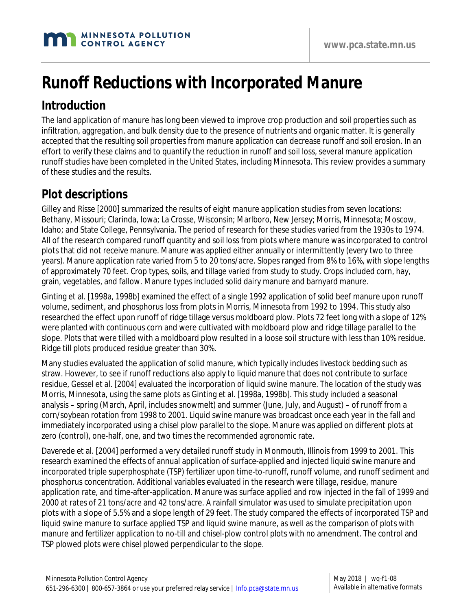# **Runoff Reductions with Incorporated Manure**

#### **Introduction**

The land application of manure has long been viewed to improve crop production and soil properties such as infiltration, aggregation, and bulk density due to the presence of nutrients and organic matter. It is generally accepted that the resulting soil properties from manure application can decrease runoff and soil erosion. In an effort to verify these claims and to quantify the reduction in runoff and soil loss, several manure application runoff studies have been completed in the United States, including Minnesota. This review provides a summary of these studies and the results.

### **Plot descriptions**

Gilley and Risse [2000] summarized the results of eight manure application studies from seven locations: Bethany, Missouri; Clarinda, Iowa; La Crosse, Wisconsin; Marlboro, New Jersey; Morris, Minnesota; Moscow, Idaho; and State College, Pennsylvania. The period of research for these studies varied from the 1930s to 1974. All of the research compared runoff quantity and soil loss from plots where manure was incorporated to control plots that did not receive manure. Manure was applied either annually or intermittently (every two to three years). Manure application rate varied from 5 to 20 tons/acre. Slopes ranged from 8% to 16%, with slope lengths of approximately 70 feet. Crop types, soils, and tillage varied from study to study. Crops included corn, hay, grain, vegetables, and fallow. Manure types included solid dairy manure and barnyard manure.

Ginting et al. [1998a, 1998b] examined the effect of a single 1992 application of solid beef manure upon runoff volume, sediment, and phosphorus loss from plots in Morris, Minnesota from 1992 to 1994. This study also researched the effect upon runoff of ridge tillage versus moldboard plow. Plots 72 feet long with a slope of 12% were planted with continuous corn and were cultivated with moldboard plow and ridge tillage parallel to the slope. Plots that were tilled with a moldboard plow resulted in a loose soil structure with less than 10% residue. Ridge till plots produced residue greater than 30%.

Many studies evaluated the application of solid manure, which typically includes livestock bedding such as straw. However, to see if runoff reductions also apply to liquid manure that does not contribute to surface residue, Gessel et al. [2004] evaluated the incorporation of liquid swine manure. The location of the study was Morris, Minnesota, using the same plots as Ginting et al. [1998a, 1998b]. This study included a seasonal analysis – spring (March, April, includes snowmelt) and summer (June, July, and August) – of runoff from a corn/soybean rotation from 1998 to 2001. Liquid swine manure was broadcast once each year in the fall and immediately incorporated using a chisel plow parallel to the slope. Manure was applied on different plots at zero (control), one-half, one, and two times the recommended agronomic rate.

Daverede et al. [2004] performed a very detailed runoff study in Monmouth, Illinois from 1999 to 2001. This research examined the effects of annual application of surface-applied and injected liquid swine manure and incorporated triple superphosphate (TSP) fertilizer upon time-to-runoff, runoff volume, and runoff sediment and phosphorus concentration. Additional variables evaluated in the research were tillage, residue, manure application rate, and time-after-application. Manure was surface applied and row injected in the fall of 1999 and 2000 at rates of 21 tons/acre and 42 tons/acre. A rainfall simulator was used to simulate precipitation upon plots with a slope of 5.5% and a slope length of 29 feet. The study compared the effects of incorporated TSP and liquid swine manure to surface applied TSP and liquid swine manure, as well as the comparison of plots with manure and fertilizer application to no-till and chisel-plow control plots with no amendment. The control and TSP plowed plots were chisel plowed perpendicular to the slope.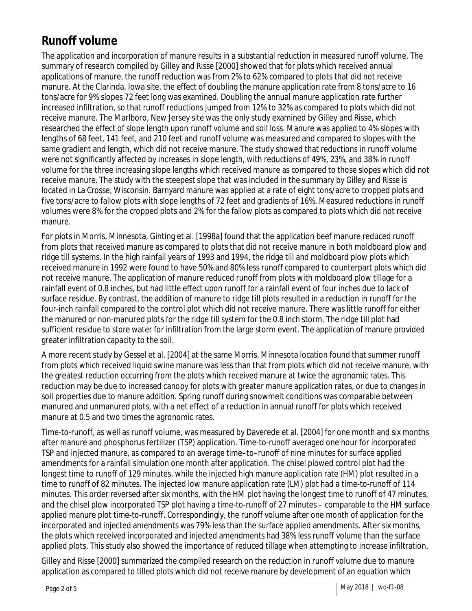### **Runoff volume**

The application and incorporation of manure results in a substantial reduction in measured runoff volume. The summary of research compiled by Gilley and Risse [2000] showed that for plots which received annual applications of manure, the runoff reduction was from 2% to 62% compared to plots that did not receive manure. At the Clarinda, Iowa site, the effect of doubling the manure application rate from 8 tons/acre to 16 tons/acre for 9% slopes 72 feet long was examined. Doubling the annual manure application rate further increased infiltration, so that runoff reductions jumped from 12% to 32% as compared to plots which did not receive manure. The Marlboro, New Jersey site was the only study examined by Gilley and Risse, which researched the effect of slope length upon runoff volume and soil loss. Manure was applied to 4% slopes with lengths of 68 feet, 141 feet, and 210 feet and runoff volume was measured and compared to slopes with the same gradient and length, which did not receive manure. The study showed that reductions in runoff volume were not significantly affected by increases in slope length, with reductions of 49%, 23%, and 38% in runoff volume for the three increasing slope lengths which received manure as compared to those slopes which did not receive manure. The study with the steepest slope that was included in the summary by Gilley and Risse is located in La Crosse, Wisconsin. Barnyard manure was applied at a rate of eight tons/acre to cropped plots and five tons/acre to fallow plots with slope lengths of 72 feet and gradients of 16%. Measured reductions in runoff volumes were 8% for the cropped plots and 2% for the fallow plots as compared to plots which did not receive manure.

For plots in Morris, Minnesota, Ginting et al. [1998a] found that the application beef manure reduced runoff from plots that received manure as compared to plots that did not receive manure in both moldboard plow and ridge till systems. In the high rainfall years of 1993 and 1994, the ridge till and moldboard plow plots which received manure in 1992 were found to have 50% and 80% less runoff compared to counterpart plots which did not receive manure. The application of manure reduced runoff from plots with moldboard plow tillage for a rainfall event of 0.8 inches, but had little effect upon runoff for a rainfall event of four inches due to lack of surface residue. By contrast, the addition of manure to ridge till plots resulted in a reduction in runoff for the four-inch rainfall compared to the control plot which did not receive manure. There was little runoff for either the manured or non-manured plots for the ridge till system for the 0.8 inch storm. The ridge till plot had sufficient residue to store water for infiltration from the large storm event. The application of manure provided greater infiltration capacity to the soil.

A more recent study by Gessel et al. [2004] at the same Morris, Minnesota location found that summer runoff from plots which received liquid swine manure was less than that from plots which did not receive manure, with the greatest reduction occurring from the plots which received manure at twice the agronomic rates. This reduction may be due to increased canopy for plots with greater manure application rates, or due to changes in soil properties due to manure addition. Spring runoff during snowmelt conditions was comparable between manured and unmanured plots, with a net effect of a reduction in annual runoff for plots which received manure at 0.5 and two times the agronomic rates.

Time-to-runoff, as well as runoff volume, was measured by Daverede et al. [2004] for one month and six months after manure and phosphorus fertilizer (TSP) application. Time-to-runoff averaged one hour for incorporated TSP and injected manure, as compared to an average time–to–runoff of nine minutes for surface applied amendments for a rainfall simulation one month after application. The chisel plowed control plot had the longest time to runoff of 129 minutes, while the injected high manure application rate (HM) plot resulted in a time to runoff of 82 minutes. The injected low manure application rate (LM) plot had a time-to-runoff of 114 minutes. This order reversed after six months, with the HM plot having the longest time to runoff of 47 minutes, and the chisel plow incorporated TSP plot having a time-to-runoff of 27 minutes – comparable to the HM surface applied manure plot time-to-runoff. Correspondingly, the runoff volume after one month of application for the incorporated and injected amendments was 79% less than the surface applied amendments. After six months, the plots which received incorporated and injected amendments had 38% less runoff volume than the surface applied plots. This study also showed the importance of reduced tillage when attempting to increase infiltration.

Gilley and Risse [2000] summarized the compiled research on the reduction in runoff volume due to manure application as compared to tilled plots which did not receive manure by development of an equation which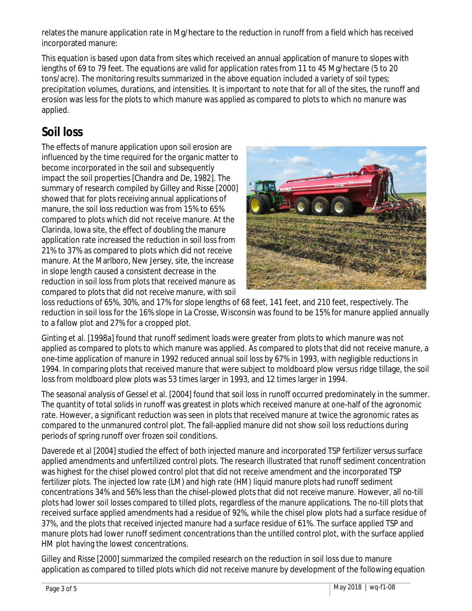relates the manure application rate in Mg/hectare to the reduction in runoff from a field which has received incorporated manure:

This equation is based upon data from sites which received an annual application of manure to slopes with lengths of 69 to 79 feet. The equations are valid for application rates from 11 to 45 Mg/hectare (5 to 20 tons/acre). The monitoring results summarized in the above equation included a variety of soil types; precipitation volumes, durations, and intensities. It is important to note that for all of the sites, the runoff and erosion was less for the plots to which manure was applied as compared to plots to which no manure was applied.

### **Soil loss**

The effects of manure application upon soil erosion are influenced by the time required for the organic matter to become incorporated in the soil and subsequently impact the soil properties [Chandra and De, 1982]. The summary of research compiled by Gilley and Risse [2000] showed that for plots receiving annual applications of manure, the soil loss reduction was from 15% to 65% compared to plots which did not receive manure. At the Clarinda, Iowa site, the effect of doubling the manure application rate increased the reduction in soil loss from 21% to 37% as compared to plots which did not receive manure. At the Marlboro, New Jersey, site, the increase in slope length caused a consistent decrease in the reduction in soil loss from plots that received manure as compared to plots that did not receive manure, with soil



loss reductions of 65%, 30%, and 17% for slope lengths of 68 feet, 141 feet, and 210 feet, respectively. The reduction in soil loss for the 16% slope in La Crosse, Wisconsin was found to be 15% for manure applied annually to a fallow plot and 27% for a cropped plot.

Ginting et al. [1998a] found that runoff sediment loads were greater from plots to which manure was not applied as compared to plots to which manure was applied. As compared to plots that did not receive manure, a one-time application of manure in 1992 reduced annual soil loss by 67% in 1993, with negligible reductions in 1994. In comparing plots that received manure that were subject to moldboard plow versus ridge tillage, the soil loss from moldboard plow plots was 53 times larger in 1993, and 12 times larger in 1994.

The seasonal analysis of Gessel et al. [2004] found that soil loss in runoff occurred predominately in the summer. The quantity of total solids in runoff was greatest in plots which received manure at one-half of the agronomic rate. However, a significant reduction was seen in plots that received manure at twice the agronomic rates as compared to the unmanured control plot. The fall-applied manure did not show soil loss reductions during periods of spring runoff over frozen soil conditions.

Daverede et al [2004] studied the effect of both injected manure and incorporated TSP fertilizer versus surface applied amendments and unfertilized control plots. The research illustrated that runoff sediment concentration was highest for the chisel plowed control plot that did not receive amendment and the incorporated TSP fertilizer plots. The injected low rate (LM) and high rate (HM) liquid manure plots had runoff sediment concentrations 34% and 56% less than the chisel-plowed plots that did not receive manure. However, all no-till plots had lower soil losses compared to tilled plots, regardless of the manure applications. The no-till plots that received surface applied amendments had a residue of 92%, while the chisel plow plots had a surface residue of 37%, and the plots that received injected manure had a surface residue of 61%. The surface applied TSP and manure plots had lower runoff sediment concentrations than the untilled control plot, with the surface applied HM plot having the lowest concentrations.

Gilley and Risse [2000] summarized the compiled research on the reduction in soil loss due to manure application as compared to tilled plots which did not receive manure by development of the following equation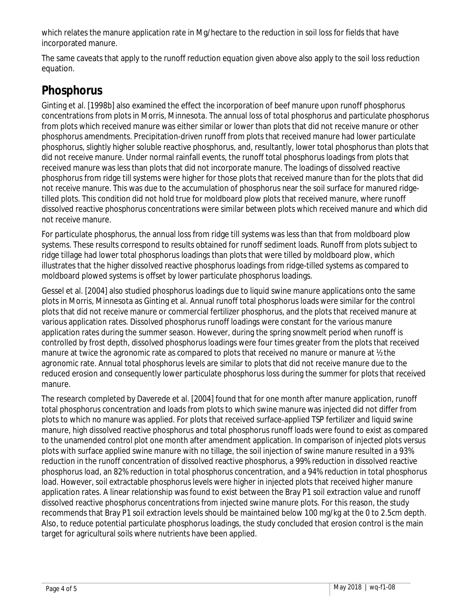which relates the manure application rate in Mg/hectare to the reduction in soil loss for fields that have incorporated manure.

The same caveats that apply to the runoff reduction equation given above also apply to the soil loss reduction equation.

### **Phosphorus**

Ginting et al. [1998b] also examined the effect the incorporation of beef manure upon runoff phosphorus concentrations from plots in Morris, Minnesota. The annual loss of total phosphorus and particulate phosphorus from plots which received manure was either similar or lower than plots that did not receive manure or other phosphorus amendments. Precipitation-driven runoff from plots that received manure had lower particulate phosphorus, slightly higher soluble reactive phosphorus, and, resultantly, lower total phosphorus than plots that did not receive manure. Under normal rainfall events, the runoff total phosphorus loadings from plots that received manure was less than plots that did not incorporate manure. The loadings of dissolved reactive phosphorus from ridge till systems were higher for those plots that received manure than for the plots that did not receive manure. This was due to the accumulation of phosphorus near the soil surface for manured ridgetilled plots. This condition did not hold true for moldboard plow plots that received manure, where runoff dissolved reactive phosphorus concentrations were similar between plots which received manure and which did not receive manure.

For particulate phosphorus, the annual loss from ridge till systems was less than that from moldboard plow systems. These results correspond to results obtained for runoff sediment loads. Runoff from plots subject to ridge tillage had lower total phosphorus loadings than plots that were tilled by moldboard plow, which illustrates that the higher dissolved reactive phosphorus loadings from ridge-tilled systems as compared to moldboard plowed systems is offset by lower particulate phosphorus loadings.

Gessel et al. [2004] also studied phosphorus loadings due to liquid swine manure applications onto the same plots in Morris, Minnesota as Ginting et al. Annual runoff total phosphorus loads were similar for the control plots that did not receive manure or commercial fertilizer phosphorus, and the plots that received manure at various application rates. Dissolved phosphorus runoff loadings were constant for the various manure application rates during the summer season. However, during the spring snowmelt period when runoff is controlled by frost depth, dissolved phosphorus loadings were four times greater from the plots that received manure at twice the agronomic rate as compared to plots that received no manure or manure at ½ the agronomic rate. Annual total phosphorus levels are similar to plots that did not receive manure due to the reduced erosion and consequently lower particulate phosphorus loss during the summer for plots that received manure.

The research completed by Daverede et al. [2004] found that for one month after manure application, runoff total phosphorus concentration and loads from plots to which swine manure was injected did not differ from plots to which no manure was applied. For plots that received surface-applied TSP fertilizer and liquid swine manure, high dissolved reactive phosphorus and total phosphorus runoff loads were found to exist as compared to the unamended control plot one month after amendment application. In comparison of injected plots versus plots with surface applied swine manure with no tillage, the soil injection of swine manure resulted in a 93% reduction in the runoff concentration of dissolved reactive phosphorus, a 99% reduction in dissolved reactive phosphorus load, an 82% reduction in total phosphorus concentration, and a 94% reduction in total phosphorus load. However, soil extractable phosphorus levels were higher in injected plots that received higher manure application rates. A linear relationship was found to exist between the Bray P1 soil extraction value and runoff dissolved reactive phosphorus concentrations from injected swine manure plots. For this reason, the study recommends that Bray P1 soil extraction levels should be maintained below 100 mg/kg at the 0 to 2.5cm depth. Also, to reduce potential particulate phosphorus loadings, the study concluded that erosion control is the main target for agricultural soils where nutrients have been applied.